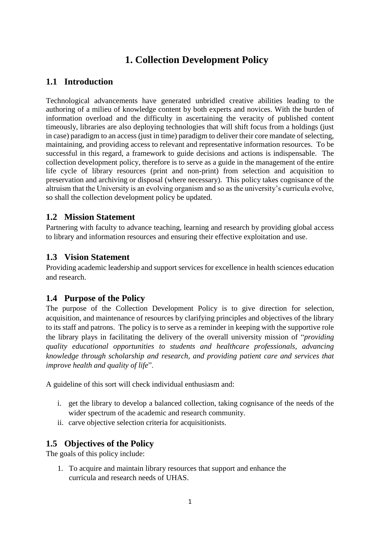# **1. Collection Development Policy**

# **1.1 Introduction**

Technological advancements have generated unbridled creative abilities leading to the authoring of a milieu of knowledge content by both experts and novices. With the burden of information overload and the difficulty in ascertaining the veracity of published content timeously, libraries are also deploying technologies that will shift focus from a holdings (just in case) paradigm to an access (just in time) paradigm to deliver their core mandate of selecting, maintaining, and providing access to relevant and representative information resources. To be successful in this regard, a framework to guide decisions and actions is indispensable. The collection development policy, therefore is to serve as a guide in the management of the entire life cycle of library resources (print and non-print) from selection and acquisition to preservation and archiving or disposal (where necessary). This policy takes cognisance of the altruism that the University is an evolving organism and so as the university's curricula evolve, so shall the collection development policy be updated.

# **1.2 Mission Statement**

Partnering with faculty to advance teaching, learning and research by providing global access to library and information resources and ensuring their effective exploitation and use.

# **1.3 Vision Statement**

Providing academic leadership and support services for excellence in health sciences education and research.

# **1.4 Purpose of the Policy**

The purpose of the Collection Development Policy is to give direction for selection, acquisition, and maintenance of resources by clarifying principles and objectives of the library to its staff and patrons. The policy is to serve as a reminder in keeping with the supportive role the library plays in facilitating the delivery of the overall university mission of "*providing quality educational opportunities to students and healthcare professionals, advancing knowledge through scholarship and research, and providing patient care and services that improve health and quality of life*".

A guideline of this sort will check individual enthusiasm and:

- i. get the library to develop a balanced collection, taking cognisance of the needs of the wider spectrum of the academic and research community.
- ii. carve objective selection criteria for acquisitionists.

# **1.5 Objectives of the Policy**

The goals of this policy include:

1. To acquire and maintain library resources that support and enhance the curricula and research needs of UHAS.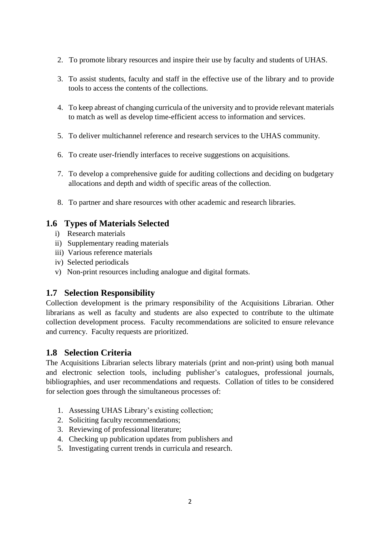- 2. To promote library resources and inspire their use by faculty and students of UHAS.
- 3. To assist students, faculty and staff in the effective use of the library and to provide tools to access the contents of the collections.
- 4. To keep abreast of changing curricula of the university and to provide relevant materials to match as well as develop time-efficient access to information and services.
- 5. To deliver multichannel reference and research services to the UHAS community.
- 6. To create user-friendly interfaces to receive suggestions on acquisitions.
- 7. To develop a comprehensive guide for auditing collections and deciding on budgetary allocations and depth and width of specific areas of the collection.
- 8. To partner and share resources with other academic and research libraries.

# **1.6 Types of Materials Selected**

- i) Research materials
- ii) Supplementary reading materials
- iii) Various reference materials
- iv) Selected periodicals
- v) Non-print resources including analogue and digital formats.

# **1.7 Selection Responsibility**

Collection development is the primary responsibility of the Acquisitions Librarian. Other librarians as well as faculty and students are also expected to contribute to the ultimate collection development process. Faculty recommendations are solicited to ensure relevance and currency. Faculty requests are prioritized.

# **1.8 Selection Criteria**

The Acquisitions Librarian selects library materials (print and non-print) using both manual and electronic selection tools, including publisher's catalogues, professional journals, bibliographies, and user recommendations and requests. Collation of titles to be considered for selection goes through the simultaneous processes of:

- 1. Assessing UHAS Library's existing collection;
- 2. Soliciting faculty recommendations;
- 3. Reviewing of professional literature;
- 4. Checking up publication updates from publishers and
- 5. Investigating current trends in curricula and research.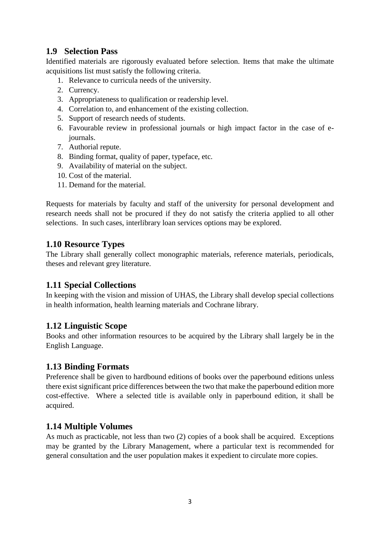# **1.9 Selection Pass**

Identified materials are rigorously evaluated before selection. Items that make the ultimate acquisitions list must satisfy the following criteria.

- 1. Relevance to curricula needs of the university.
- 2. Currency.
- 3. Appropriateness to qualification or readership level.
- 4. Correlation to, and enhancement of the existing collection.
- 5. Support of research needs of students.
- 6. Favourable review in professional journals or high impact factor in the case of ejournals.
- 7. Authorial repute.
- 8. Binding format, quality of paper, typeface, etc.
- 9. Availability of material on the subject.
- 10. Cost of the material.
- 11. Demand for the material.

Requests for materials by faculty and staff of the university for personal development and research needs shall not be procured if they do not satisfy the criteria applied to all other selections. In such cases, interlibrary loan services options may be explored.

# **1.10 Resource Types**

The Library shall generally collect monographic materials, reference materials, periodicals, theses and relevant grey literature.

# **1.11 Special Collections**

In keeping with the vision and mission of UHAS, the Library shall develop special collections in health information, health learning materials and Cochrane library.

# **1.12 Linguistic Scope**

Books and other information resources to be acquired by the Library shall largely be in the English Language.

# **1.13 Binding Formats**

Preference shall be given to hardbound editions of books over the paperbound editions unless there exist significant price differences between the two that make the paperbound edition more cost-effective. Where a selected title is available only in paperbound edition, it shall be acquired.

# **1.14 Multiple Volumes**

As much as practicable, not less than two (2) copies of a book shall be acquired. Exceptions may be granted by the Library Management, where a particular text is recommended for general consultation and the user population makes it expedient to circulate more copies.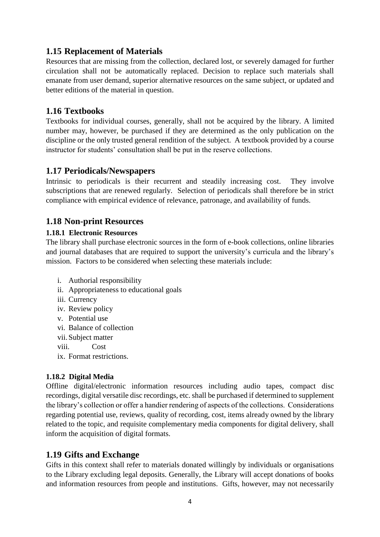# **1.15 Replacement of Materials**

Resources that are missing from the collection, declared lost, or severely damaged for further circulation shall not be automatically replaced. Decision to replace such materials shall emanate from user demand, superior alternative resources on the same subject, or updated and better editions of the material in question.

## **1.16 Textbooks**

Textbooks for individual courses, generally, shall not be acquired by the library. A limited number may, however, be purchased if they are determined as the only publication on the discipline or the only trusted general rendition of the subject. A textbook provided by a course instructor for students' consultation shall be put in the reserve collections.

## **1.17 Periodicals/Newspapers**

Intrinsic to periodicals is their recurrent and steadily increasing cost. They involve subscriptions that are renewed regularly. Selection of periodicals shall therefore be in strict compliance with empirical evidence of relevance, patronage, and availability of funds.

# **1.18 Non-print Resources**

## **1.18.1 Electronic Resources**

The library shall purchase electronic sources in the form of e-book collections, online libraries and journal databases that are required to support the university's curricula and the library's mission. Factors to be considered when selecting these materials include:

- i. Authorial responsibility
- ii. Appropriateness to educational goals
- iii. Currency
- iv. Review policy
- v. Potential use
- vi. Balance of collection
- vii. Subject matter
- viii. Cost
- ix. Format restrictions.

## **1.18.2 Digital Media**

Offline digital/electronic information resources including audio tapes, compact disc recordings, digital versatile disc recordings, etc. shall be purchased if determined to supplement the library's collection or offer a handier rendering of aspects of the collections. Considerations regarding potential use, reviews, quality of recording, cost, items already owned by the library related to the topic, and requisite complementary media components for digital delivery, shall inform the acquisition of digital formats.

## **1.19 Gifts and Exchange**

Gifts in this context shall refer to materials donated willingly by individuals or organisations to the Library excluding legal deposits. Generally, the Library will accept donations of books and information resources from people and institutions. Gifts, however, may not necessarily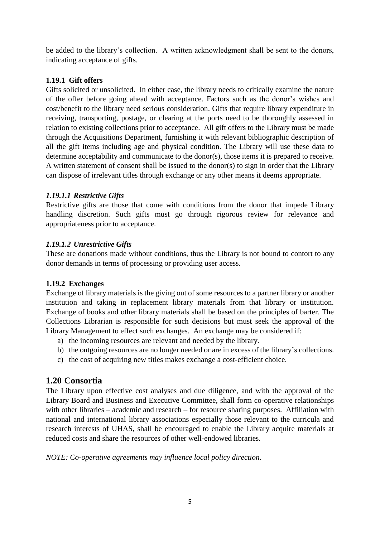be added to the library's collection. A written acknowledgment shall be sent to the donors, indicating acceptance of gifts.

## **1.19.1 Gift offers**

Gifts solicited or unsolicited. In either case, the library needs to critically examine the nature of the offer before going ahead with acceptance. Factors such as the donor's wishes and cost/benefit to the library need serious consideration. Gifts that require library expenditure in receiving, transporting, postage, or clearing at the ports need to be thoroughly assessed in relation to existing collections prior to acceptance. All gift offers to the Library must be made through the Acquisitions Department, furnishing it with relevant bibliographic description of all the gift items including age and physical condition. The Library will use these data to determine acceptability and communicate to the donor(s), those items it is prepared to receive. A written statement of consent shall be issued to the donor(s) to sign in order that the Library can dispose of irrelevant titles through exchange or any other means it deems appropriate.

## *1.19.1.1 Restrictive Gifts*

Restrictive gifts are those that come with conditions from the donor that impede Library handling discretion. Such gifts must go through rigorous review for relevance and appropriateness prior to acceptance.

## *1.19.1.2 Unrestrictive Gifts*

These are donations made without conditions, thus the Library is not bound to contort to any donor demands in terms of processing or providing user access.

## **1.19.2 Exchanges**

Exchange of library materials is the giving out of some resources to a partner library or another institution and taking in replacement library materials from that library or institution. Exchange of books and other library materials shall be based on the principles of barter. The Collections Librarian is responsible for such decisions but must seek the approval of the Library Management to effect such exchanges. An exchange may be considered if:

- a) the incoming resources are relevant and needed by the library.
- b) the outgoing resources are no longer needed or are in excess of the library's collections.
- c) the cost of acquiring new titles makes exchange a cost-efficient choice.

# **1.20 Consortia**

The Library upon effective cost analyses and due diligence, and with the approval of the Library Board and Business and Executive Committee, shall form co-operative relationships with other libraries – academic and research – for resource sharing purposes. Affiliation with national and international library associations especially those relevant to the curricula and research interests of UHAS, shall be encouraged to enable the Library acquire materials at reduced costs and share the resources of other well-endowed libraries.

## *NOTE: Co-operative agreements may influence local policy direction.*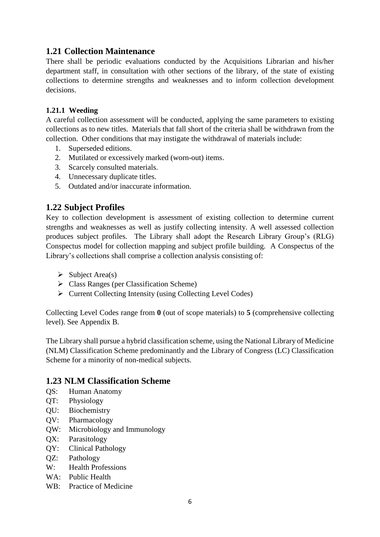# **1.21 Collection Maintenance**

There shall be periodic evaluations conducted by the Acquisitions Librarian and his/her department staff, in consultation with other sections of the library, of the state of existing collections to determine strengths and weaknesses and to inform collection development decisions.

## **1.21.1 Weeding**

A careful collection assessment will be conducted, applying the same parameters to existing collections as to new titles. Materials that fall short of the criteria shall be withdrawn from the collection. Other conditions that may instigate the withdrawal of materials include:

- 1. Superseded editions.
- 2. Mutilated or excessively marked (worn-out) items.
- 3. Scarcely consulted materials.
- 4. Unnecessary duplicate titles.
- 5. Outdated and/or inaccurate information.

# **1.22 Subject Profiles**

Key to collection development is assessment of existing collection to determine current strengths and weaknesses as well as justify collecting intensity. A well assessed collection produces subject profiles. The Library shall adopt the Research Library Group's (RLG) Conspectus model for collection mapping and subject profile building. A Conspectus of the Library's collections shall comprise a collection analysis consisting of:

- $\triangleright$  Subject Area(s)
- $\triangleright$  Class Ranges (per Classification Scheme)
- $\triangleright$  Current Collecting Intensity (using Collecting Level Codes)

Collecting Level Codes range from **0** (out of scope materials) to **5** (comprehensive collecting level). See Appendix B.

The Library shall pursue a hybrid classification scheme, using the National Library of Medicine (NLM) Classification Scheme predominantly and the Library of Congress (LC) Classification Scheme for a minority of non-medical subjects.

## **1.23 NLM Classification Scheme**

- QS: Human Anatomy
- QT: Physiology
- QU: Biochemistry
- QV: Pharmacology
- QW: Microbiology and Immunology
- QX: Parasitology
- QY: Clinical Pathology
- QZ: Pathology
- W: Health Professions
- WA: Public Health
- WB: Practice of Medicine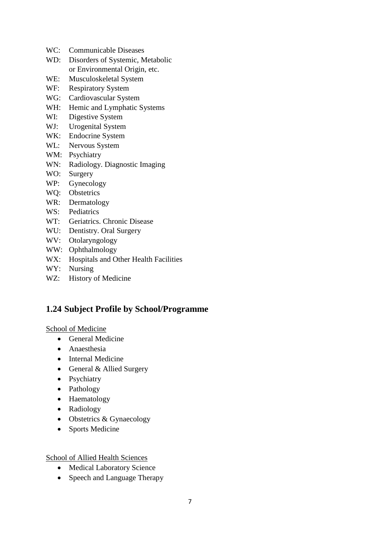- WC: Communicable Diseases
- WD: Disorders of Systemic, Metabolic or Environmental Origin, etc.
- WE: Musculoskeletal System
- WF: Respiratory System
- WG: Cardiovascular System
- WH: Hemic and Lymphatic Systems
- WI: Digestive System
- WJ: Urogenital System
- WK: Endocrine System
- WL: Nervous System
- WM: Psychiatry
- WN: Radiology. Diagnostic Imaging
- WO: Surgery
- WP: Gynecology
- WQ: Obstetrics
- WR: Dermatology
- WS: Pediatrics
- WT: Geriatrics. Chronic Disease
- WU: Dentistry. Oral Surgery
- WV: Otolaryngology
- WW: Ophthalmology
- W.X: Hospitals and Other Health Facilities
- WY: Nursing
- WZ: History of Medicine

# **1.24 Subject Profile by School/Programme**

School of Medicine

- General Medicine
- Anaesthesia
- Internal Medicine
- General & Allied Surgery
- Psychiatry
- Pathology
- Haematology
- Radiology
- Obstetrics & Gynaecology
- Sports Medicine

School of Allied Health Sciences

- Medical Laboratory Science
- Speech and Language Therapy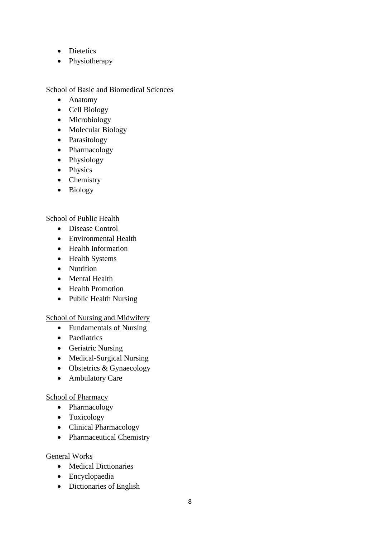- Dietetics
- Physiotherapy

## School of Basic and Biomedical Sciences

- Anatomy
- Cell Biology
- Microbiology
- Molecular Biology
- Parasitology
- Pharmacology
- Physiology
- Physics
- Chemistry
- Biology

## School of Public Health

- Disease Control
- Environmental Health
- Health Information
- Health Systems
- Nutrition
- Mental Health
- Health Promotion
- Public Health Nursing

## School of Nursing and Midwifery

- Fundamentals of Nursing
- Paediatrics
- Geriatric Nursing
- Medical-Surgical Nursing
- $\bullet$  Obstetrics & Gynaecology
- Ambulatory Care

## School of Pharmacy

- Pharmacology
- Toxicology
- Clinical Pharmacology
- Pharmaceutical Chemistry

## General Works

- Medical Dictionaries
- Encyclopaedia
- Dictionaries of English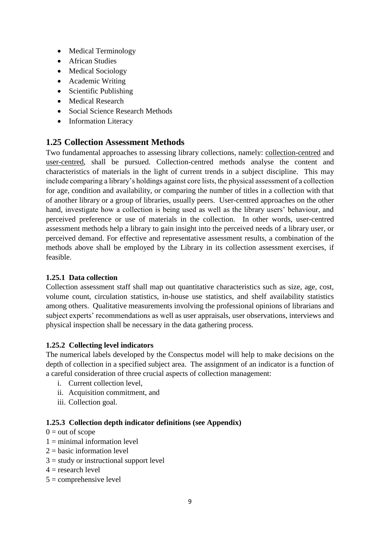- Medical Terminology
- African Studies
- Medical Sociology
- Academic Writing
- Scientific Publishing
- Medical Research
- Social Science Research Methods
- Information Literacy

## **1.25 Collection Assessment Methods**

Two fundamental approaches to assessing library collections, namely: collection-centred and user-centred, shall be pursued. Collection-centred methods analyse the content and characteristics of materials in the light of current trends in a subject discipline. This may include comparing a library's holdings against core lists, the physical assessment of a collection for age, condition and availability, or comparing the number of titles in a collection with that of another library or a group of libraries, usually peers. User-centred approaches on the other hand, investigate how a collection is being used as well as the library users' behaviour, and perceived preference or use of materials in the collection. In other words, user-centred assessment methods help a library to gain insight into the perceived needs of a library user, or perceived demand. For effective and representative assessment results, a combination of the methods above shall be employed by the Library in its collection assessment exercises, if feasible.

## **1.25.1 Data collection**

Collection assessment staff shall map out quantitative characteristics such as size, age, cost, volume count, circulation statistics, in-house use statistics, and shelf availability statistics among others. Qualitative measurements involving the professional opinions of librarians and subject experts' recommendations as well as user appraisals, user observations, interviews and physical inspection shall be necessary in the data gathering process.

## **1.25.2 Collecting level indicators**

The numerical labels developed by the Conspectus model will help to make decisions on the depth of collection in a specified subject area. The assignment of an indicator is a function of a careful consideration of three crucial aspects of collection management:

- i. Current collection level,
- ii. Acquisition commitment, and
- iii. Collection goal.

## **1.25.3 Collection depth indicator definitions (see Appendix)**

- $0 = out of score$
- $1 \equiv$  minimal information level
- $2 =$  basic information level
- $3 =$  study or instructional support level
- $4 =$  research level
- $5 =$  comprehensive level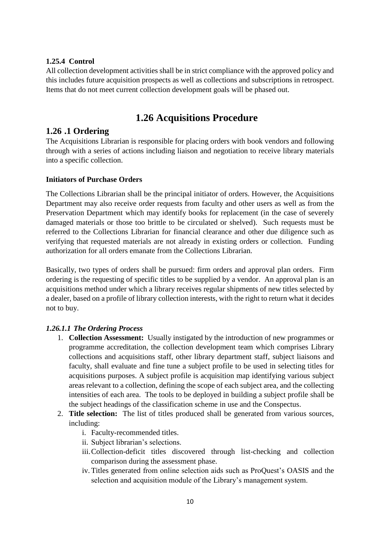## **1.25.4 Control**

All collection development activities shall be in strict compliance with the approved policy and this includes future acquisition prospects as well as collections and subscriptions in retrospect. Items that do not meet current collection development goals will be phased out.

# **1.26 Acquisitions Procedure**

## **1.26 .1 Ordering**

The Acquisitions Librarian is responsible for placing orders with book vendors and following through with a series of actions including liaison and negotiation to receive library materials into a specific collection.

#### **Initiators of Purchase Orders**

The Collections Librarian shall be the principal initiator of orders. However, the Acquisitions Department may also receive order requests from faculty and other users as well as from the Preservation Department which may identify books for replacement (in the case of severely damaged materials or those too brittle to be circulated or shelved). Such requests must be referred to the Collections Librarian for financial clearance and other due diligence such as verifying that requested materials are not already in existing orders or collection. Funding authorization for all orders emanate from the Collections Librarian.

Basically, two types of orders shall be pursued: firm orders and approval plan orders. Firm ordering is the requesting of specific titles to be supplied by a vendor. An approval plan is an acquisitions method under which a library receives regular shipments of new titles selected by a dealer, based on a profile of library collection interests, with the right to return what it decides not to buy.

## *1.26.1.1 The Ordering Process*

- 1. **Collection Assessment:** Usually instigated by the introduction of new programmes or programme accreditation, the collection development team which comprises Library collections and acquisitions staff, other library department staff, subject liaisons and faculty, shall evaluate and fine tune a subject profile to be used in selecting titles for acquisitions purposes. A subject profile is acquisition map identifying various subject areas relevant to a collection, defining the scope of each subject area, and the collecting intensities of each area. The tools to be deployed in building a subject profile shall be the subject headings of the classification scheme in use and the Conspectus.
- 2. **Title selection:** The list of titles produced shall be generated from various sources, including:
	- i. Faculty-recommended titles.
	- ii. Subject librarian's selections.
	- iii.Collection-deficit titles discovered through list-checking and collection comparison during the assessment phase.
	- iv. Titles generated from online selection aids such as ProQuest's OASIS and the selection and acquisition module of the Library's management system.